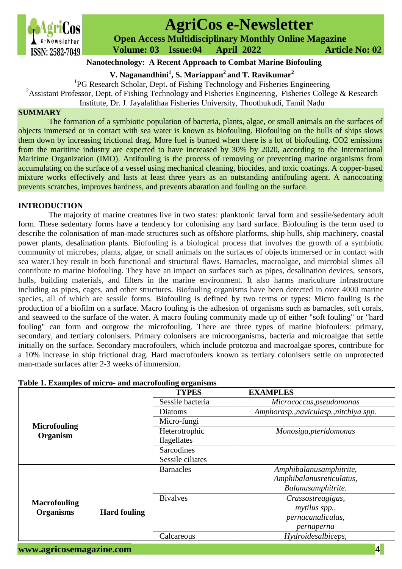

# **AgriCos e-Newsletter**

 **Open Access Multidisciplinary Monthly Online Magazine**

 **ISSN: 2582-7049 Volume: 03 Issue:04 April 2022 Article No: 02** 

## **Nanotechnology: A Recent Approach to Combat Marine Biofouling**

**V. Naganandhini<sup>1</sup> , S. Mariappan<sup>2</sup> and T. Ravikumar<sup>2</sup>**

<sup>1</sup>PG Research Scholar, Dept. of Fishing Technology and Fisheries Engineering

<sup>2</sup>Assistant Professor, Dept. of Fishing Technology and Fisheries Engineering, Fisheries College & Research

Institute, Dr. J. Jayalalithaa Fisheries University, Thoothukudi, Tamil Nadu

#### **SUMMARY**

The formation of a symbiotic population of bacteria, plants, algae, or small animals on the surfaces of objects immersed or in contact with sea water is known as biofouling. Biofouling on the hulls of ships slows them down by increasing frictional drag. More fuel is burned when there is a lot of biofouling. CO2 emissions from the maritime industry are expected to have increased by 30% by 2020, according to the International Maritime Organization (IMO). Antifouling is the process of removing or preventing marine organisms from accumulating on the surface of a vessel using mechanical cleaning, biocides, and toxic coatings. A copper-based mixture works effectively and lasts at least three years as an outstanding antifouling agent. A nanocoating prevents scratches, improves hardness, and prevents abaration and fouling on the surface.

### **INTRODUCTION**

The majority of marine creatures live in two states: planktonic larval form and sessile/sedentary adult form. These sedentary forms have a tendency for colonising any hard surface. Biofouling is the term used to describe the colonisation of man-made structures such as offshore platforms, ship hulls, ship machinery, coastal power plants, desalination plants. Biofouling is a biological process that involves the growth of a symbiotic community of microbes, plants, algae, or small animals on the surfaces of objects immersed or in contact with sea water.They result in both functional and structural flaws. Barnacles, macroalgae, and microbial slimes all contribute to marine biofouling. They have an impact on surfaces such as pipes, desalination devices, sensors, hulls, building materials, and filters in the marine environment. It also harms mariculture infrastructure including as pipes, cages, and other structures. Biofouling organisms have been detected in over 4000 marine species, all of which are sessile forms. Biofouling is defined by two terms or types: Micro fouling is the production of a biofilm on a surface. Macro fouling is the adhesion of organisms such as barnacles, soft corals, and seaweed to the surface of the water. A macro fouling community made up of either "soft fouling" or "hard fouling" can form and outgrow the microfouling. There are three types of marine biofoulers: primary, secondary, and tertiary colonisers. Primary colonisers are microorganisms, bacteria and microalgae that settle initially on the surface. Secondary macrofoulers, which include protozoa and macroalgae spores, contribute for a 10% increase in ship frictional drag. Hard macrofoulers known as tertiary colonisers settle on unprotected man-made surfaces after 2-3 weeks of immersion.

| Table 1. Examples of micro- and macroiouling organisms |                     |                   |                                        |  |  |
|--------------------------------------------------------|---------------------|-------------------|----------------------------------------|--|--|
| <b>Microfouling</b><br>Organism                        |                     | <b>TYPES</b>      | <b>EXAMPLES</b>                        |  |  |
|                                                        |                     | Sessile bacteria  | Micrococcus, pseudomonas               |  |  |
|                                                        |                     | Diatoms           | Amphorasp., naviculasp., nitchiya spp. |  |  |
|                                                        |                     | Micro-fungi       |                                        |  |  |
|                                                        |                     | Heterotrophic     | Monosiga, pteridomonas                 |  |  |
|                                                        |                     | flagellates       |                                        |  |  |
|                                                        |                     | <b>Sarcodines</b> |                                        |  |  |
|                                                        |                     | Sessile ciliates  |                                        |  |  |
|                                                        |                     | <b>Barnacles</b>  | Amphibalanusamphitrite,                |  |  |
| <b>Macrofouling</b><br><b>Organisms</b>                |                     |                   | Amphibalanusreticulatus,               |  |  |
|                                                        |                     |                   | Balanusamphitrite.                     |  |  |
|                                                        |                     | <b>Bivalves</b>   | Crassostreagigas,                      |  |  |
|                                                        | <b>Hard fouling</b> |                   | mytilus spp.,                          |  |  |
|                                                        |                     |                   | pernacanaliculas,                      |  |  |
|                                                        |                     |                   | pernaperna                             |  |  |
|                                                        |                     | Calcareous        | Hydroidesalbiceps,                     |  |  |
|                                                        |                     |                   |                                        |  |  |

# **Table 1. Examples of micro- and macrofouling organisms**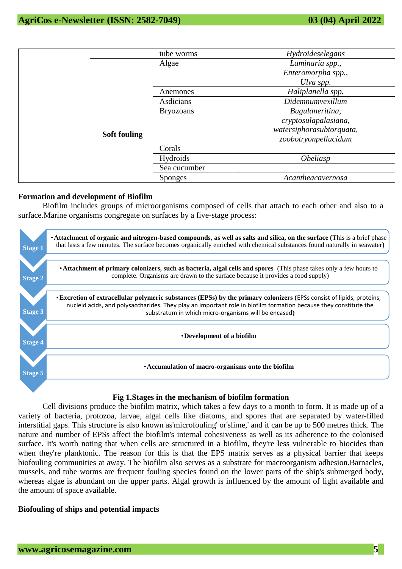|                     | tube worms       | Hydroideselegans         |
|---------------------|------------------|--------------------------|
|                     | Algae            | Laminaria spp.,          |
| <b>Soft fouling</b> |                  | Enteromorpha spp.,       |
|                     |                  | Ulva spp.                |
|                     | Anemones         | Haliplanella spp.        |
|                     | Asdicians        | Didemnumvexillum         |
|                     | <b>Bryozoans</b> | Bugulaneritina,          |
|                     |                  | cryptosulapalasiana,     |
|                     |                  | watersiphorasubtorquata, |
|                     |                  | zoobotryonpellucidum     |
|                     | Corals           |                          |
|                     | <b>Hydroids</b>  | <i><b>Obeliasp</b></i>   |
|                     | Sea cucumber     |                          |
|                     | <b>Sponges</b>   | Acantheacavernosa        |

#### **Formation and development of Biofilm**

Biofilm includes groups of microorganisms composed of cells that attach to each other and also to a surface.Marine organisms congregate on surfaces by a five-stage process:



### **Fig 1.Stages in the mechanism of biofilm formation**

Cell divisions produce the biofilm matrix, which takes a few days to a month to form. It is made up of a variety of bacteria, protozoa, larvae, algal cells like diatoms, and spores that are separated by water-filled interstitial gaps. This structure is also known as'microfouling' or'slime,' and it can be up to 500 metres thick. The nature and number of EPSs affect the biofilm's internal cohesiveness as well as its adherence to the colonised surface. It's worth noting that when cells are structured in a biofilm, they're less vulnerable to biocides than when they're planktonic. The reason for this is that the EPS matrix serves as a physical barrier that keeps biofouling communities at away. The biofilm also serves as a substrate for macroorganism adhesion.Barnacles, mussels, and tube worms are frequent fouling species found on the lower parts of the ship's submerged body, whereas algae is abundant on the upper parts. Algal growth is influenced by the amount of light available and the amount of space available.

#### **Biofouling of ships and potential impacts**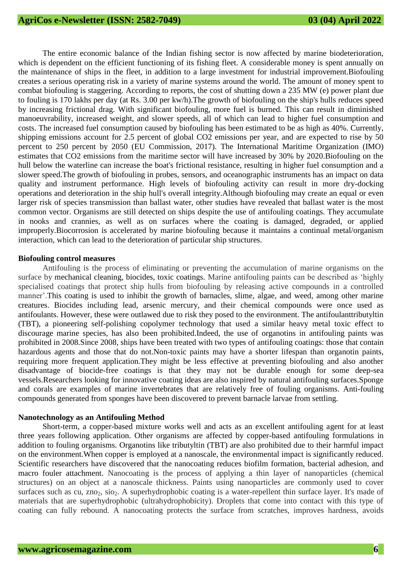The entire economic balance of the Indian fishing sector is now affected by marine biodeterioration, which is dependent on the efficient functioning of its fishing fleet. A considerable money is spent annually on the maintenance of ships in the fleet, in addition to a large investment for industrial improvement.Biofouling creates a serious operating risk in a variety of marine systems around the world. The amount of money spent to combat biofouling is staggering. According to reports, the cost of shutting down a 235 MW (e) power plant due to fouling is 170 lakhs per day (at Rs. 3.00 per kw/h).The growth of biofouling on the ship's hulls reduces speed by increasing frictional drag. With significant biofouling, more fuel is burned. This can result in diminished manoeuvrability, increased weight, and slower speeds, all of which can lead to higher fuel consumption and costs. The increased fuel consumption caused by biofouling has been estimated to be as high as 40%. Currently, shipping emissions account for 2.5 percent of global CO2 emissions per year, and are expected to rise by 50 percent to 250 percent by 2050 (EU Commission, 2017). The International Maritime Organization (IMO) estimates that CO2 emissions from the maritime sector will have increased by 30% by 2020.Biofouling on the hull below the waterline can increase the boat's frictional resistance, resulting in higher fuel consumption and a slower speed.The growth of biofouling in probes, sensors, and oceanographic instruments has an impact on data quality and instrument performance. High levels of biofouling activity can result in more dry-docking operations and deterioration in the ship hull's overall integrity.Although biofouling may create an equal or even larger risk of species transmission than ballast water, other studies have revealed that ballast water is the most common vector. Organisms are still detected on ships despite the use of antifouling coatings. They accumulate in nooks and crannies, as well as on surfaces where the coating is damaged, degraded, or applied improperly.Biocorrosion is accelerated by marine biofouling because it maintains a continual metal/organism interaction, which can lead to the deterioration of particular ship structures.

#### **Biofouling control measures**

Antifouling is the process of eliminating or preventing the accumulation of marine organisms on the surface by mechanical cleaning, biocides, toxic coatings. Marine antifouling paints can be described as 'highly specialised coatings that protect ship hulls from biofouling by releasing active compounds in a controlled manner'.This coating is used to inhibit the growth of barnacles, slime, algae, and weed, among other marine creatures. Biocides including lead, arsenic mercury, and their chemical compounds were once used as antifoulants. However, these were outlawed due to risk they posed to the environment. The antifoulanttributyltin (TBT), a pioneering self-polishing copolymer technology that used a similar heavy metal toxic effect to discourage marine species, has also been prohibited.Indeed, the use of organotins in antifouling paints was prohibited in 2008.Since 2008, ships have been treated with two types of antifouling coatings: those that contain hazardous agents and those that do not.Non-toxic paints may have a shorter lifespan than organotin paints, requiring more frequent application.They might be less effective at preventing biofouling and also another disadvantage of biocide-free coatings is that they may not be durable enough for some deep-sea vessels.Researchers looking for innovative coating ideas are also inspired by natural antifouling surfaces.Sponge and corals are examples of marine invertebrates that are relatively free of fouling organisms. Anti-fouling compounds generated from sponges have been discovered to prevent barnacle larvae from settling.

#### **Nanotechnology as an Antifouling Method**

Short-term, a copper-based mixture works well and acts as an excellent antifouling agent for at least three years following application. Other organisms are affected by copper-based antifouling formulations in addition to fouling organisms. Organotins like tributyltin (TBT) are also prohibited due to their harmful impact on the environment.When copper is employed at a nanoscale, the environmental impact is significantly reduced. Scientific researchers have discovered that the nanocoating reduces biofilm formation, bacterial adhesion, and macro fouler attachment. Nanocoating is the process of applying a thin layer of nanoparticles (chemical structures) on an object at a nanoscale thickness. Paints using nanoparticles are commonly used to cover surfaces such as cu, zno<sub>2</sub>, sio<sub>2</sub>. A superhydrophobic coating is a water-repellent thin surface layer. It's made of materials that are superhydrophobic (ultrahydrophobicity). Droplets that come into contact with this type of coating can fully rebound. A nanocoating protects the surface from scratches, improves hardness, avoids